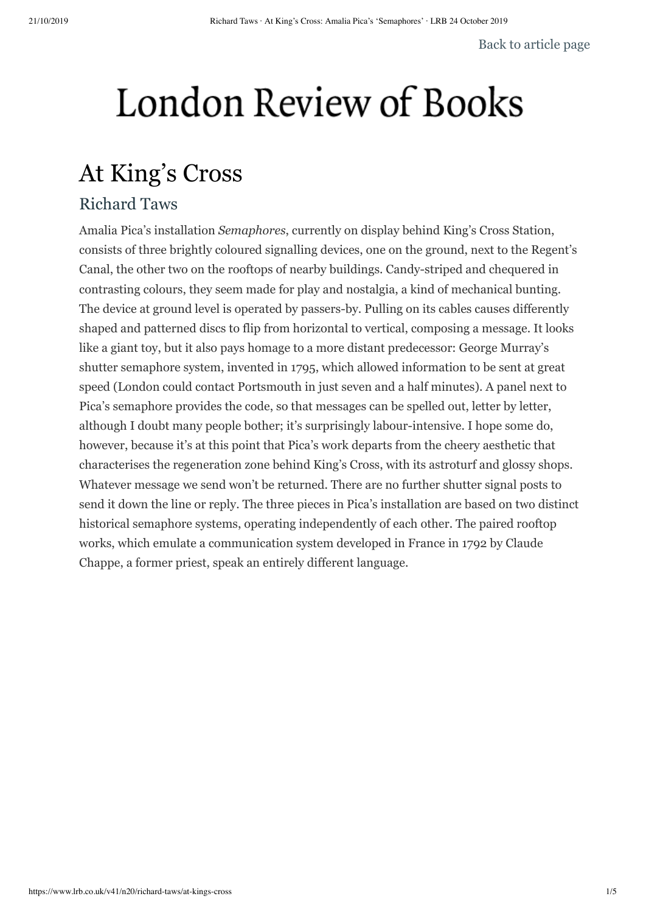## London Review of Books

## At King's Cross

## Richard Taws

Amalia Pica's installation *Semaphores*, currently on display behind King's Cross Station, consists of three brightly coloured signalling devices, one on the ground, next to the Regent's Canal, the other two on the rooftops of nearby buildings. Candy-striped and chequered in contrasting colours, they seem made for play and nostalgia, a kind of mechanical bunting. The device at ground level is operated by passers-by. Pulling on its cables causes differently shaped and patterned discs to flip from horizontal to vertical, composing a message. It looks like a giant toy, but it also pays homage to a more distant predecessor: George Murray's shutter semaphore system, invented in 1795, which allowed information to be sent at great speed (London could contact Portsmouth in just seven and a half minutes). A panel next to Pica's semaphore provides the code, so that messages can be spelled out, letter by letter, although I doubt many people bother; it's surprisingly labour-intensive. I hope some do, however, because it's at this point that Pica's work departs from the cheery aesthetic that characterises the regeneration zone behind King's Cross, with its astroturf and glossy shops. Whatever message we send won't be returned. There are no further shutter signal posts to send it down the line or reply. The three pieces in Pica's installation are based on two distinct historical semaphore systems, operating independently of each other. The paired rooftop works, which emulate a communication system developed in France in 1792 by Claude Chappe, a former priest, speak an entirely different language.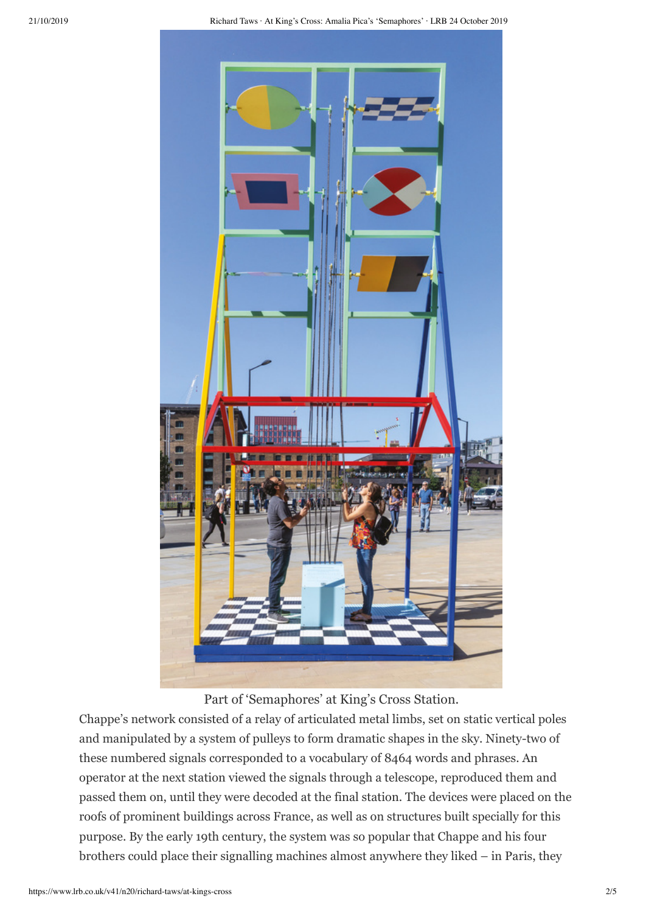

Part of 'Semaphores' at King's Cross Station.

Chappe's network consisted of a relay of articulated metal limbs, set on static vertical poles and manipulated by a system of pulleys to form dramatic shapes in the sky. Ninety-two of these numbered signals corresponded to a vocabulary of 8464 words and phrases. An operator at the next station viewed the signals through a telescope, reproduced them and passed them on, until they were decoded at the final station. The devices were placed on the roofs of prominent buildings across France, as well as on structures built specially for this purpose. By the early 19th century, the system was so popular that Chappe and his four brothers could place their signalling machines almost anywhere they liked – in Paris, they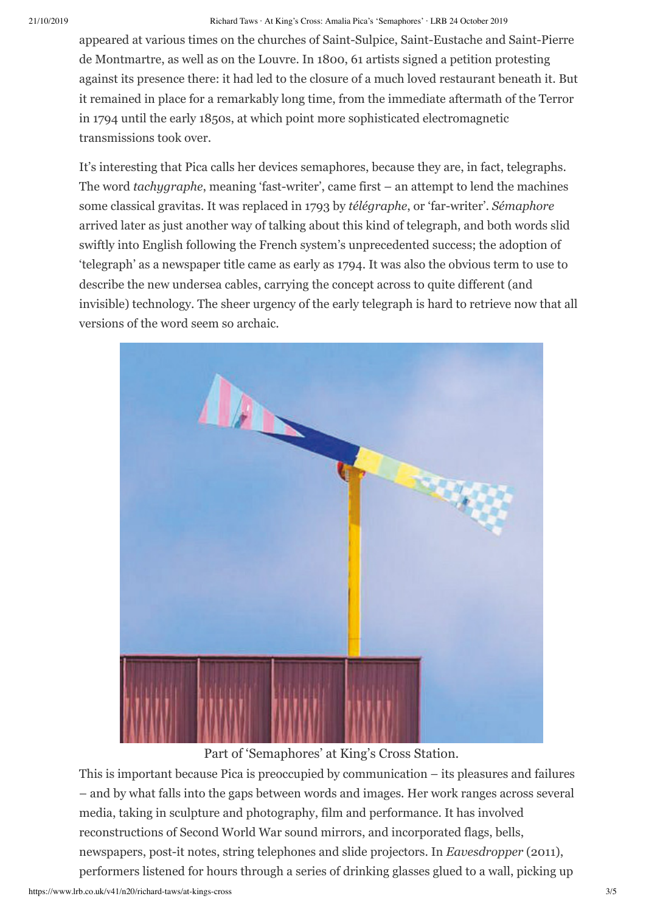## 21/10/2019 Richard Taws · At King's Cross: Amalia Pica's 'Semaphores' · LRB 24 October 2019

appeared at various times on the churches of Saint-Sulpice, Saint-Eustache and Saint-Pierre de Montmartre, as well as on the Louvre. In 1800, 61 artists signed a petition protesting against its presence there: it had led to the closure of a much loved restaurant beneath it. But it remained in place for a remarkably long time, from the immediate aftermath of the Terror in 1794 until the early 1850s, at which point more sophisticated electromagnetic transmissions took over.

It's interesting that Pica calls her devices semaphores, because they are, in fact, telegraphs. The word *tachygraphe*, meaning 'fast-writer', came first – an attempt to lend the machines some classical gravitas. It was replaced in 1793 by *télégraphe*, or 'far-writer'. *Sémaphore* arrived later as just another way of talking about this kind of telegraph, and both words slid swiftly into English following the French system's unprecedented success; the adoption of 'telegraph' as a newspaper title came as early as 1794. It was also the obvious term to use to describe the new undersea cables, carrying the concept across to quite different (and invisible) technology. The sheer urgency of the early telegraph is hard to retrieve now that all versions of the word seem so archaic.



Part of 'Semaphores' at King's Cross Station.

This is important because Pica is preoccupied by communication – its pleasures and failures – and by what falls into the gaps between words and images. Her work ranges across several media, taking in sculpture and photography, film and performance. It has involved reconstructions of Second World War sound mirrors, and incorporated flags, bells, newspapers, post-it notes, string telephones and slide projectors. In *Eavesdropper* (2011), performers listened for hours through a series of drinking glasses glued to a wall, picking up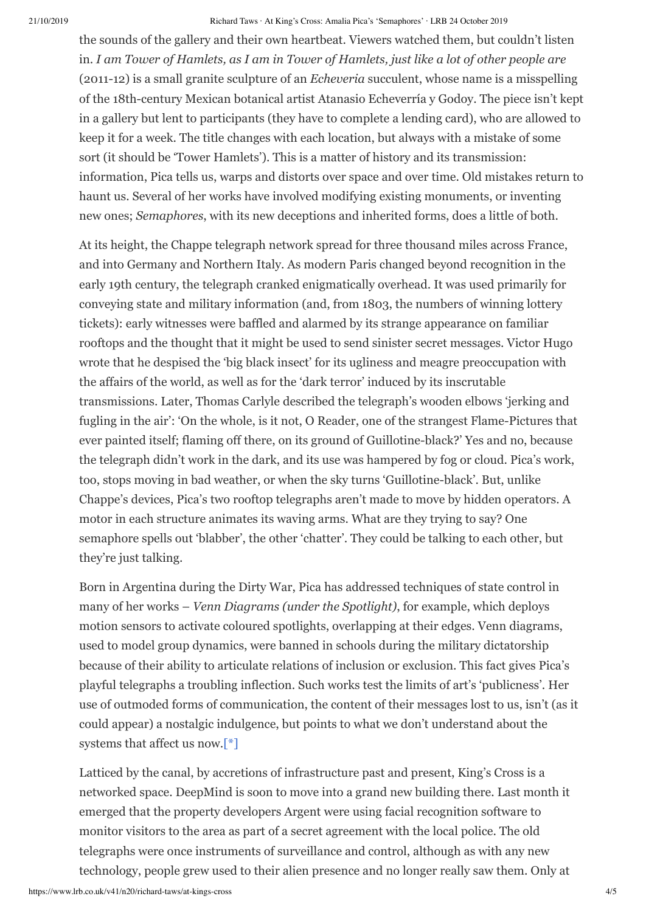21/10/2019 Richard Taws · At King's Cross: Amalia Pica's 'Semaphores' · LRB 24 October 2019

the sounds of the gallery and their own heartbeat. Viewers watched them, but couldn't listen in. *I am Tower of Hamlets, as I am in Tower of Hamlets, just like a lot of other people are* (2011-12) is a small granite sculpture of an *Echeveria* succulent, whose name is a misspelling of the 18th-century Mexican botanical artist Atanasio Echeverría y Godoy. The piece isn't kept in a gallery but lent to participants (they have to complete a lending card), who are allowed to keep it for a week. The title changes with each location, but always with a mistake of some sort (it should be 'Tower Hamlets'). This is a matter of history and its transmission: information, Pica tells us, warps and distorts over space and over time. Old mistakes return to haunt us. Several of her works have involved modifying existing monuments, or inventing new ones; *Semaphores*, with its new deceptions and inherited forms, does a little of both.

At its height, the Chappe telegraph network spread for three thousand miles across France, and into Germany and Northern Italy. As modern Paris changed beyond recognition in the early 19th century, the telegraph cranked enigmatically overhead. It was used primarily for conveying state and military information (and, from 1803, the numbers of winning lottery tickets): early witnesses were baffled and alarmed by its strange appearance on familiar rooftops and the thought that it might be used to send sinister secret messages. Victor Hugo wrote that he despised the 'big black insect' for its ugliness and meagre preoccupation with the affairs of the world, as well as for the 'dark terror' induced by its inscrutable transmissions. Later, Thomas Carlyle described the telegraph's wooden elbows 'jerking and fugling in the air': 'On the whole, is it not, O Reader, one of the strangest Flame-Pictures that ever painted itself; flaming off there, on its ground of Guillotine-black?' Yes and no, because the telegraph didn't work in the dark, and its use was hampered by fog or cloud. Pica's work, too, stops moving in bad weather, or when the sky turns 'Guillotine-black'. But, unlike Chappe's devices, Pica's two rooftop telegraphs aren't made to move by hidden operators. A motor in each structure animates its waving arms. What are they trying to say? One semaphore spells out 'blabber', the other 'chatter'. They could be talking to each other, but they're just talking.

Born in Argentina during the Dirty War, Pica has addressed techniques of state control in many of her works – *Venn Diagrams (under the Spotlight)*, for example, which deploys motion sensors to activate coloured spotlights, overlapping at their edges. Venn diagrams, used to model group dynamics, were banned in schools during the military dictatorship because of their ability to articulate relations of inclusion or exclusion. This fact gives Pica's playful telegraphs a troubling inflection. Such works test the limits of art's 'publicness'. Her use of outmoded forms of communication, the content of their messages lost to us, isn't (as it could appear) a nostalgic indulgence, but points to what we don't understand about the systems that affect us now.[\[\\*\]](#page-4-0)

<span id="page-3-0"></span>Latticed by the canal, by accretions of infrastructure past and present, King's Cross is a networked space. DeepMind is soon to move into a grand new building there. Last month it emerged that the property developers Argent were using facial recognition software to monitor visitors to the area as part of a secret agreement with the local police. The old telegraphs were once instruments of surveillance and control, although as with any new technology, people grew used to their alien presence and no longer really saw them. Only at